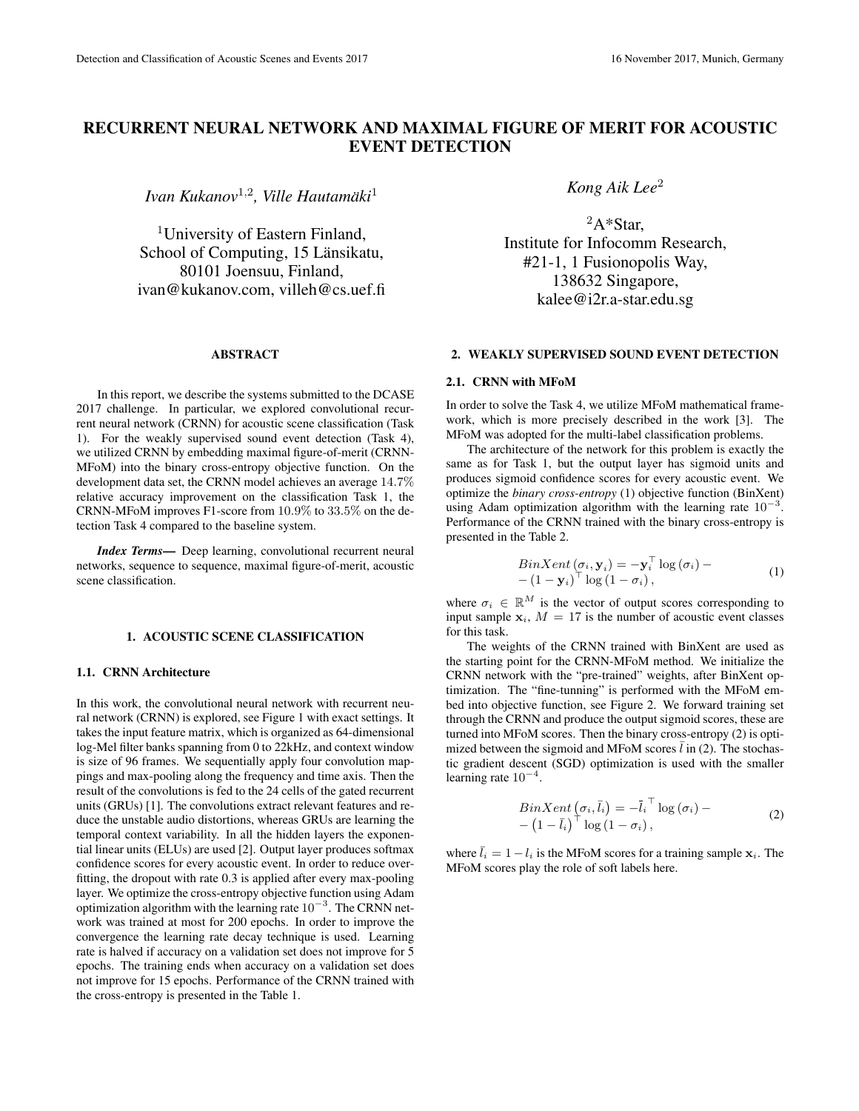# RECURRENT NEURAL NETWORK AND MAXIMAL FIGURE OF MERIT FOR ACOUSTIC EVENT DETECTION

*Ivan Kukanov*<sup>1</sup>,<sup>2</sup> *, Ville Hautamaki ¨* 1

<sup>1</sup>University of Eastern Finland, School of Computing, 15 Länsikatu, 80101 Joensuu, Finland, ivan@kukanov.com, villeh@cs.uef.fi

### ABSTRACT

In this report, we describe the systems submitted to the DCASE 2017 challenge. In particular, we explored convolutional recurrent neural network (CRNN) for acoustic scene classification (Task 1). For the weakly supervised sound event detection (Task 4), we utilized CRNN by embedding maximal figure-of-merit (CRNN-MFoM) into the binary cross-entropy objective function. On the development data set, the CRNN model achieves an average 14.7% relative accuracy improvement on the classification Task 1, the CRNN-MFoM improves F1-score from 10.9% to 33.5% on the detection Task 4 compared to the baseline system.

*Index Terms*— Deep learning, convolutional recurrent neural networks, sequence to sequence, maximal figure-of-merit, acoustic scene classification.

#### 1. ACOUSTIC SCENE CLASSIFICATION

## 1.1. CRNN Architecture

In this work, the convolutional neural network with recurrent neural network (CRNN) is explored, see Figure 1 with exact settings. It takes the input feature matrix, which is organized as 64-dimensional log-Mel filter banks spanning from 0 to 22kHz, and context window is size of 96 frames. We sequentially apply four convolution mappings and max-pooling along the frequency and time axis. Then the result of the convolutions is fed to the 24 cells of the gated recurrent units (GRUs) [1]. The convolutions extract relevant features and reduce the unstable audio distortions, whereas GRUs are learning the temporal context variability. In all the hidden layers the exponential linear units (ELUs) are used [2]. Output layer produces softmax confidence scores for every acoustic event. In order to reduce overfitting, the dropout with rate 0.3 is applied after every max-pooling layer. We optimize the cross-entropy objective function using Adam optimization algorithm with the learning rate  $10^{-3}$ . The CRNN network was trained at most for 200 epochs. In order to improve the convergence the learning rate decay technique is used. Learning rate is halved if accuracy on a validation set does not improve for 5 epochs. The training ends when accuracy on a validation set does not improve for 15 epochs. Performance of the CRNN trained with the cross-entropy is presented in the Table 1.

*Kong Aik Lee*<sup>2</sup>

 ${}^{2}A*Star$ . Institute for Infocomm Research, #21-1, 1 Fusionopolis Way, 138632 Singapore, kalee@i2r.a-star.edu.sg

### 2. WEAKLY SUPERVISED SOUND EVENT DETECTION

### 2.1. CRNN with MFoM

In order to solve the Task 4, we utilize MFoM mathematical framework, which is more precisely described in the work [3]. The MFoM was adopted for the multi-label classification problems.

The architecture of the network for this problem is exactly the same as for Task 1, but the output layer has sigmoid units and produces sigmoid confidence scores for every acoustic event. We optimize the *binary cross-entropy* (1) objective function (BinXent) using Adam optimization algorithm with the learning rate  $10^{-3}$ . Performance of the CRNN trained with the binary cross-entropy is presented in the Table 2.

$$
BinXent\left(\sigma_{i}, \mathbf{y}_{i}\right) = -\mathbf{y}_{i}^{\top} \log\left(\sigma_{i}\right) -\left(1-\mathbf{y}_{i}\right)^{\top} \log\left(1-\sigma_{i}\right),\tag{1}
$$

where  $\sigma_i \in \mathbb{R}^M$  is the vector of output scores corresponding to input sample  $x_i$ ,  $M = 17$  is the number of acoustic event classes for this task.

The weights of the CRNN trained with BinXent are used as the starting point for the CRNN-MFoM method. We initialize the CRNN network with the "pre-trained" weights, after BinXent optimization. The "fine-tunning" is performed with the MFoM embed into objective function, see Figure 2. We forward training set through the CRNN and produce the output sigmoid scores, these are turned into MFoM scores. Then the binary cross-entropy (2) is optimized between the sigmoid and MFoM scores  $\bar{l}$  in (2). The stochastic gradient descent (SGD) optimization is used with the smaller learning rate  $10^{-4}$ .

$$
BinXent\left(\sigma_{i}, \bar{l}_{i}\right) = -\bar{l}_{i}^{\top} \log\left(\sigma_{i}\right) - \left(1 - \bar{l}_{i}\right)^{\top} \log\left(1 - \sigma_{i}\right),\tag{2}
$$

where  $\bar{l}_i = 1 - l_i$  is the MFoM scores for a training sample  $x_i$ . The MFoM scores play the role of soft labels here.